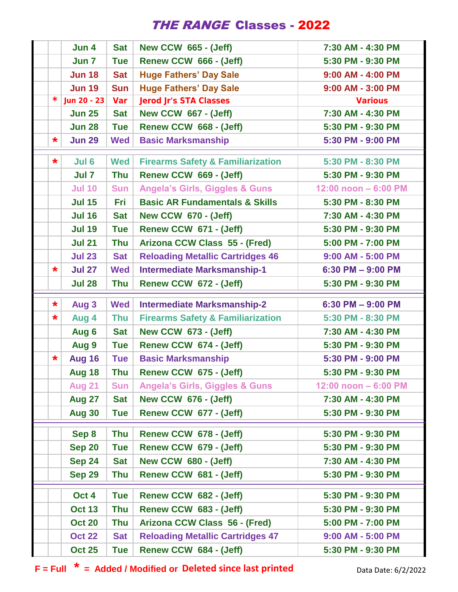## THE RANGE Classes - 2022

|         | Jun 4            | <b>Sat</b> | <b>New CCW 665 - (Jeff)</b>                  | 7:30 AM - 4:30 PM    |
|---------|------------------|------------|----------------------------------------------|----------------------|
|         | Jun 7            | <b>Tue</b> | Renew CCW 666 - (Jeff)                       | 5:30 PM - 9:30 PM    |
|         | <b>Jun 18</b>    | <b>Sat</b> | <b>Huge Fathers' Day Sale</b>                | 9:00 AM - 4:00 PM    |
|         | <b>Jun 19</b>    | <b>Sun</b> | <b>Huge Fathers' Day Sale</b>                | 9:00 AM - 3:00 PM    |
|         | $*$ Jun 20 - 23  | Var        | <b>Jerod Jr's STA Classes</b>                | <b>Various</b>       |
|         | <b>Jun 25</b>    | <b>Sat</b> | <b>New CCW 667 - (Jeff)</b>                  | 7:30 AM - 4:30 PM    |
|         | <b>Jun 28</b>    | <b>Tue</b> | Renew CCW 668 - (Jeff)                       | 5:30 PM - 9:30 PM    |
| $\star$ | <b>Jun 29</b>    | <b>Wed</b> | <b>Basic Marksmanship</b>                    | 5:30 PM - 9:00 PM    |
| $\star$ | Jul 6            | <b>Wed</b> | <b>Firearms Safety &amp; Familiarization</b> | 5:30 PM - 8:30 PM    |
|         | Jul <sub>7</sub> | <b>Thu</b> | Renew CCW 669 - (Jeff)                       | 5:30 PM - 9:30 PM    |
|         | <b>Jul 10</b>    | <b>Sun</b> | <b>Angela's Girls, Giggles &amp; Guns</b>    | 12:00 noon - 6:00 PM |
|         | <b>Jul 15</b>    | Fri        | <b>Basic AR Fundamentals &amp; Skills</b>    | 5:30 PM - 8:30 PM    |
|         | <b>Jul 16</b>    | <b>Sat</b> | <b>New CCW 670 - (Jeff)</b>                  | 7:30 AM - 4:30 PM    |
|         | <b>Jul 19</b>    | <b>Tue</b> | Renew CCW 671 - (Jeff)                       | 5:30 PM - 9:30 PM    |
|         | <b>Jul 21</b>    | <b>Thu</b> | Arizona CCW Class 55 - (Fred)                | 5:00 PM - 7:00 PM    |
|         | <b>Jul 23</b>    | <b>Sat</b> | <b>Reloading Metallic Cartridges 46</b>      | 9:00 AM - 5:00 PM    |
| $\star$ | <b>Jul 27</b>    | <b>Wed</b> | <b>Intermediate Marksmanship-1</b>           | $6:30$ PM $-9:00$ PM |
|         | <b>Jul 28</b>    | <b>Thu</b> | Renew CCW 672 - (Jeff)                       | 5:30 PM - 9:30 PM    |
| $\star$ | Aug 3            | <b>Wed</b> | <b>Intermediate Marksmanship-2</b>           | $6:30$ PM $-9:00$ PM |
| $\star$ | Aug 4            | <b>Thu</b> | <b>Firearms Safety &amp; Familiarization</b> | 5:30 PM - 8:30 PM    |
|         | Aug 6            | <b>Sat</b> | <b>New CCW 673 - (Jeff)</b>                  | 7:30 AM - 4:30 PM    |
|         | Aug 9            | <b>Tue</b> | Renew CCW 674 - (Jeff)                       | 5:30 PM - 9:30 PM    |
| $\star$ | Aug 16           | <b>Tue</b> | <b>Basic Marksmanship</b>                    | 5:30 PM - 9:00 PM    |
|         | <b>Aug 18</b>    | <b>Thu</b> | Renew CCW 675 - (Jeff)                       | 5:30 PM - 9:30 PM    |
|         | <b>Aug 21</b>    | <b>Sun</b> | <b>Angela's Girls, Giggles &amp; Guns</b>    | 12:00 noon - 6:00 PM |
|         | Aug 27           | <b>Sat</b> | <b>New CCW 676 - (Jeff)</b>                  | 7:30 AM - 4:30 PM    |
|         | <b>Aug 30</b>    | <b>Tue</b> | Renew CCW 677 - (Jeff)                       | 5:30 PM - 9:30 PM    |
|         | Sep 8            | <b>Thu</b> | Renew CCW 678 - (Jeff)                       | 5:30 PM - 9:30 PM    |
|         | <b>Sep 20</b>    | <b>Tue</b> | Renew CCW 679 - (Jeff)                       | 5:30 PM - 9:30 PM    |
|         | <b>Sep 24</b>    | <b>Sat</b> | <b>New CCW 680 - (Jeff)</b>                  | 7:30 AM - 4:30 PM    |
|         | <b>Sep 29</b>    | <b>Thu</b> | Renew CCW 681 - (Jeff)                       | 5:30 PM - 9:30 PM    |
|         | Oct 4            | <b>Tue</b> | Renew CCW 682 - (Jeff)                       | 5:30 PM - 9:30 PM    |
|         | <b>Oct 13</b>    | <b>Thu</b> | Renew CCW 683 - (Jeff)                       | 5:30 PM - 9:30 PM    |
|         | <b>Oct 20</b>    | <b>Thu</b> | Arizona CCW Class 56 - (Fred)                | 5:00 PM - 7:00 PM    |
|         | <b>Oct 22</b>    | <b>Sat</b> | <b>Reloading Metallic Cartridges 47</b>      | 9:00 AM - 5:00 PM    |
|         | <b>Oct 25</b>    | <b>Tue</b> | Renew CCW 684 - (Jeff)                       | 5:30 PM - 9:30 PM    |

**F** = Full  $*$  = Added / Modified or Deleted since last printed Data Date: 6/2/2022